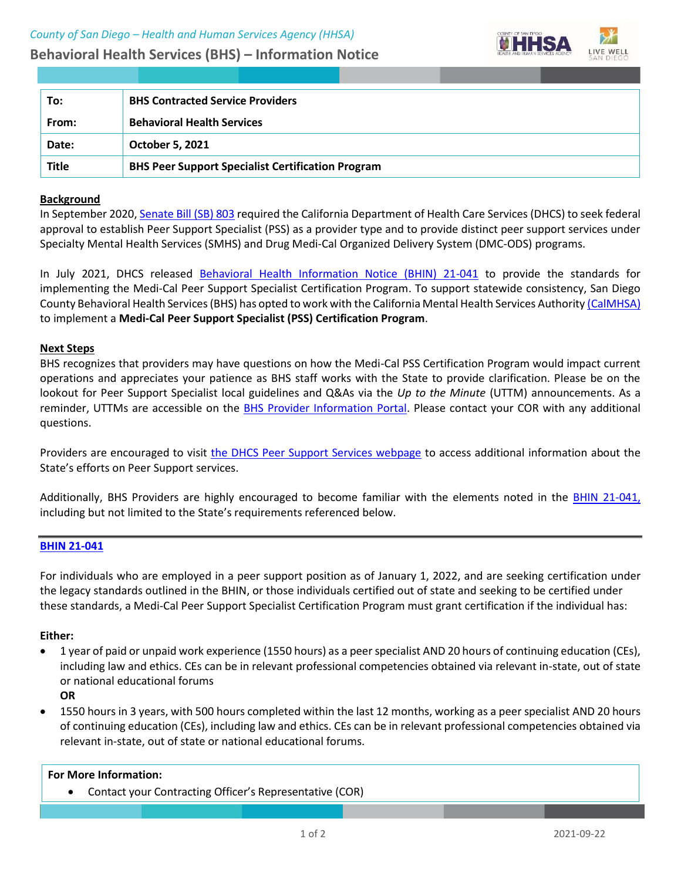# **Behavioral Health Services (BHS) – Information Notice**



| To:          | <b>BHS Contracted Service Providers</b>                  |
|--------------|----------------------------------------------------------|
| From:        | <b>Behavioral Health Services</b>                        |
| Date:        | October 5, 2021                                          |
| <b>Title</b> | <b>BHS Peer Support Specialist Certification Program</b> |

## **Background**

In September 2020[, Senate Bill \(SB\) 803](https://leginfo.legislature.ca.gov/faces/billNavClient.xhtml?bill_id=201920200SB803) required the California Department of Health Care Services (DHCS) to seek federal approval to establish Peer Support Specialist (PSS) as a provider type and to provide distinct peer support services under Specialty Mental Health Services (SMHS) and Drug Medi-Cal Organized Delivery System (DMC-ODS) programs.

In July 2021, DHCS released [Behavioral Health Information Notice \(BHIN\) 21-041](https://www.dhcs.ca.gov/Documents/CSD_BL/BHIN-21-041.pdf) to provide the standards for implementing the Medi-Cal Peer Support Specialist Certification Program. To support statewide consistency, San Diego County Behavioral Health Services (BHS) has opted to work with the California Mental Health Services Authorit[y \(CalMHSA\)](https://www.calmhsa.org/) to implement a **Medi-Cal Peer Support Specialist (PSS) Certification Program**.

### **Next Steps**

BHS recognizes that providers may have questions on how the Medi-Cal PSS Certification Program would impact current operations and appreciates your patience as BHS staff works with the State to provide clarification. Please be on the lookout for Peer Support Specialist local guidelines and Q&As via the *Up to the Minute* (UTTM) announcements. As a reminder, UTTMs are accessible on the [BHS Provider Information Portal.](https://www.optumsandiego.com/content/SanDiego/sandiego/en/county-staff---providers.html) Please contact your COR with any additional questions.

Providers are encouraged to visit [the DHCS Peer Support Services webpage](file:///C:/Users/agonzaga/AppData/Local/Microsoft/Windows/INetCache/Content.Outlook/2GH8N27R/the%20DHCS%20Peer%20Support%20Services%20webpage) to access additional information about the State's efforts on Peer Support services.

Additionally, BHS Providers are highly encouraged to become familiar with the elements noted in the [BHIN 21-041,](https://www.dhcs.ca.gov/Documents/CSD_BL/BHIN-21-041.pdf) including but not limited to the State's requirements referenced below.

## **[BHIN 21-041](https://www.dhcs.ca.gov/Documents/CSD_BL/BHIN-21-041.pdf)**

For individuals who are employed in a peer support position as of January 1, 2022, and are seeking certification under the legacy standards outlined in the BHIN, or those individuals certified out of state and seeking to be certified under these standards, a Medi-Cal Peer Support Specialist Certification Program must grant certification if the individual has:

### **Either:**

- 1 year of paid or unpaid work experience (1550 hours) as a peer specialist AND 20 hours of continuing education (CEs), including law and ethics. CEs can be in relevant professional competencies obtained via relevant in-state, out of state or national educational forums
	- **OR**
- 1550 hours in 3 years, with 500 hours completed within the last 12 months, working as a peer specialist AND 20 hours of continuing education (CEs), including law and ethics. CEs can be in relevant professional competencies obtained via relevant in-state, out of state or national educational forums.

### **For More Information:**

• Contact your Contracting Officer's Representative (COR)